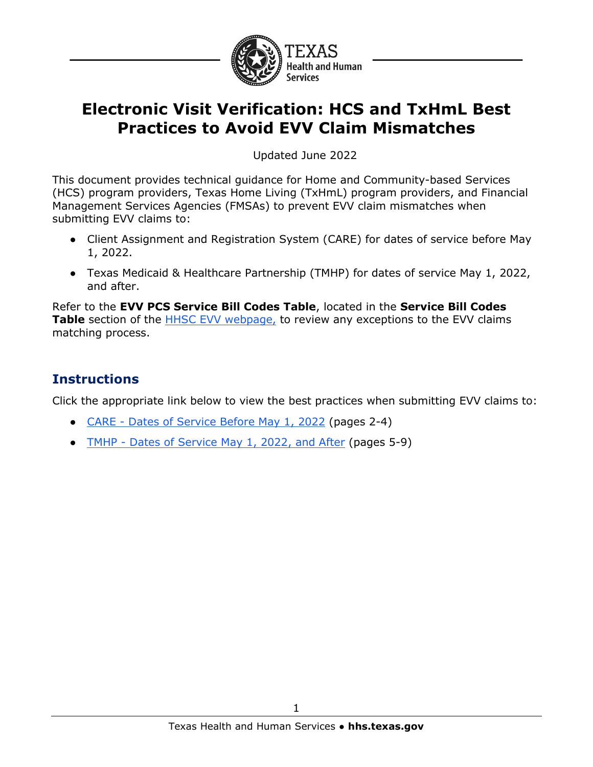

# **Electronic Visit Verification: HCS and TxHmL Best Practices to Avoid EVV Claim Mismatches**

Updated June 2022

 This document provides technical guidance for Home and Community-based Services Management Services Agencies (FMSAs) to prevent EVV claim mismatches when submitting EVV claims to: (HCS) program providers, Texas Home Living (TxHmL) program providers, and Financial

- Client Assignment and Registration System (CARE) for dates of service before May 1, 2022.
- Texas Medicaid & Healthcare Partnership (TMHP) for dates of service May 1, 2022, and after.

 matching process. Refer to the **EVV PCS Service Bill Codes Table**, located in the **Service Bill Codes Table** section of the **HHSC EVV** webpage, to review any exceptions to the EVV claims

## **Instructions**

Click the appropriate link below to view the best practices when submitting EVV claims to:

- CARE [Dates of Service Before May 1, 2022](#page-1-0) (pages 2-4)
- TMHP [Dates of Service May 1, 2022, and After](#page-4-0) (pages 5-9)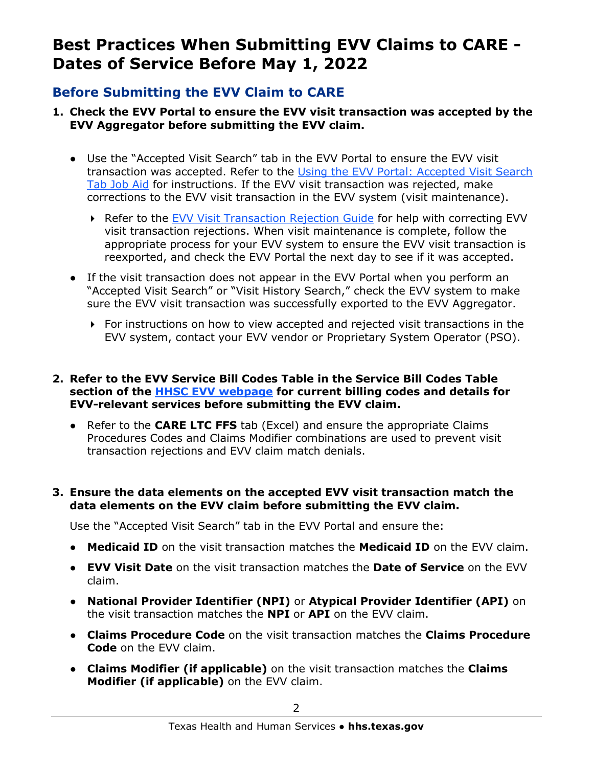# <span id="page-1-0"></span> **Best Practices When Submitting EVV Claims to CARE - Dates of Service Before May 1, 2022**

## **Before Submitting the EVV Claim to CARE**

- **1. Check the EVV Portal to ensure the EVV visit transaction was accepted by the EVV Aggregator before submitting the EVV claim.** 
	- [Tab Job Aid](https://tmhp.exceedlms.com/student/collection/521629/path/507964) for instructions. If the EVV visit transaction was rejected, make ● Use the "Accepted Visit Search" tab in the EVV Portal to ensure the EVV visit transaction was accepted. Refer to the [Using the EVV Portal: Accepted Visit Search](https://tmhp.exceedlms.com/student/collection/521629/path/507964)  corrections to the EVV visit transaction in the EVV system (visit maintenance).
		- ▶ Refer to the [EVV Visit Transaction Rejection Guide](https://www.tmhp.com/sites/default/files/file-library/evv/EVV-visit-transaction-rejection-guide.pdf) for help with correcting EVV visit transaction rejections. When visit maintenance is complete, follow the appropriate process for your EVV system to ensure the EVV visit transaction is reexported, and check the EVV Portal the next day to see if it was accepted.
	- "Accepted Visit Search" or "Visit History Search," check the EVV system to make ● If the visit transaction does not appear in the EVV Portal when you perform an sure the EVV visit transaction was successfully exported to the EVV Aggregator.
		- $\triangleright$  For instructions on how to view accepted and rejected visit transactions in the EVV system, contact your EVV vendor or Proprietary System Operator (PSO).

#### **2. Refer to the EVV Service Bill Codes Table in the Service Bill Codes Table section of the [HHSC EVV webpage](https://www.hhs.texas.gov/providers/long-term-care-providers/long-term-care-provider-resources/electronic-visit-verification) for current billing codes and details for EVV-relevant services before submitting the EVV claim.**

 ● Refer to the **CARE LTC FFS** tab (Excel) and ensure the appropriate Claims Procedures Codes and Claims Modifier combinations are used to prevent visit transaction rejections and EVV claim match denials.

### **3. Ensure the data elements on the accepted EVV visit transaction match the data elements on the EVV claim before submitting the EVV claim.**

Use the "Accepted Visit Search" tab in the EVV Portal and ensure the:

- **Medicaid ID** on the visit transaction matches the **Medicaid ID** on the EVV claim.
- **EVV Visit Date** on the visit transaction matches the **Date of Service** on the EVV claim.
- **National Provider Identifier (NPI)** or **Atypical Provider Identifier (API)** on the visit transaction matches the **NPI** or **API** on the EVV claim.
- **Claims Procedure Code** on the visit transaction matches the **Claims Procedure Code** on the EVV claim.
- **Claims Modifier (if applicable)** on the visit transaction matches the **Claims Modifier (if applicable)** on the EVV claim.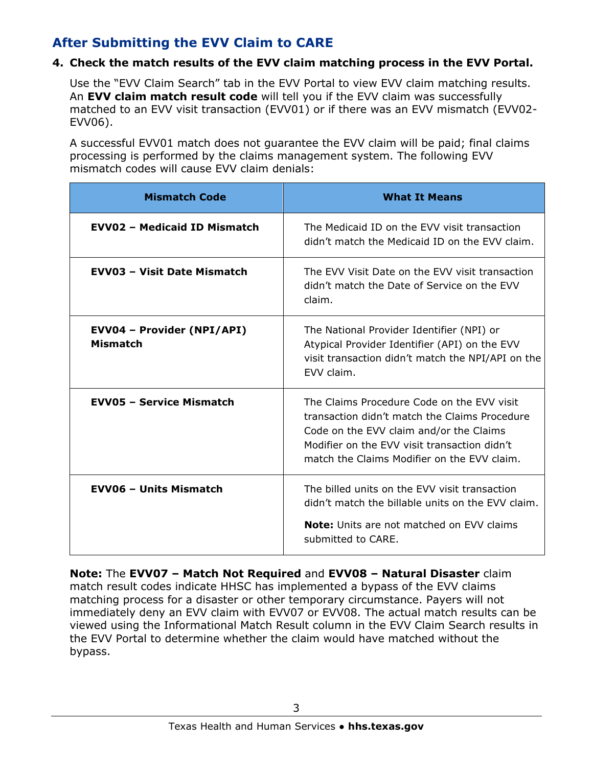## **After Submitting the EVV Claim to CARE**

### **4. Check the match results of the EVV claim matching process in the EVV Portal.**

Use the "EVV Claim Search" tab in the EVV Portal to view EVV claim matching results. An **EVV claim match result code** will tell you if the EVV claim was successfully matched to an EVV visit transaction (EVV01) or if there was an EVV mismatch (EVV02- EVV06).

A successful EVV01 match does not guarantee the EVV claim will be paid; final claims processing is performed by the claims management system. The following EVV mismatch codes will cause EVV claim denials:

| <b>Mismatch Code</b>                          | <b>What It Means</b>                                                                                                                                                                                                                  |
|-----------------------------------------------|---------------------------------------------------------------------------------------------------------------------------------------------------------------------------------------------------------------------------------------|
| <b>EVVO2 - Medicaid ID Mismatch</b>           | The Medicaid ID on the EVV visit transaction<br>didn't match the Medicaid ID on the EVV claim.                                                                                                                                        |
| <b>EVV03 - Visit Date Mismatch</b>            | The EVV Visit Date on the EVV visit transaction<br>didn't match the Date of Service on the EVV<br>claim.                                                                                                                              |
| EVV04 - Provider (NPI/API)<br><b>Mismatch</b> | The National Provider Identifier (NPI) or<br>Atypical Provider Identifier (API) on the EVV<br>visit transaction didn't match the NPI/API on the<br>EVV claim.                                                                         |
| <b>EVV05 - Service Mismatch</b>               | The Claims Procedure Code on the EVV visit<br>transaction didn't match the Claims Procedure<br>Code on the EVV claim and/or the Claims<br>Modifier on the EVV visit transaction didn't<br>match the Claims Modifier on the EVV claim. |
| <b>EVV06 - Units Mismatch</b>                 | The billed units on the EVV visit transaction<br>didn't match the billable units on the EVV claim.                                                                                                                                    |
|                                               | <b>Note:</b> Units are not matched on EVV claims<br>submitted to CARE.                                                                                                                                                                |

 **Note:** The **EVV07 – Match Not Required** and **EVV08 – Natural Disaster** claim match result codes indicate HHSC has implemented a bypass of the EVV claims matching process for a disaster or other temporary circumstance. Payers will not immediately deny an EVV claim with EVV07 or EVV08. The actual match results can be viewed using the Informational Match Result column in the EVV Claim Search results in the EVV Portal to determine whether the claim would have matched without the bypass.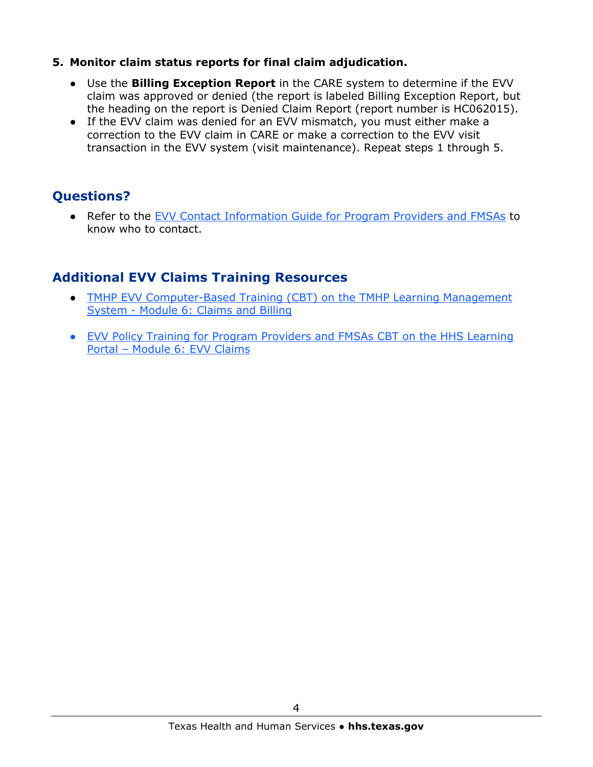### **5. Monitor claim status reports for final claim adjudication.**

- claim was approved or denied (the report is labeled Billing Exception Report, but ● Use the **Billing Exception Report** in the CARE system to determine if the EVV the heading on the report is Denied Claim Report (report number is HC062015).
- If the EVV claim was denied for an EVV mismatch, you must either make a correction to the EVV claim in CARE or make a correction to the EVV visit transaction in the EVV system (visit maintenance). Repeat steps 1 through 5.

# **Questions?**

Refer to the [EVV Contact Information Guide for Program Providers and FMSAs](https://www.hhs.texas.gov/sites/default/files/documents/doing-business-with-hhs/providers/long-term-care/evv/evv-contact-information-guide.pdf) to know who to contact.

### **Additional EVV Claims Training Resources**

- TMHP EVV Computer-Based Training (CBT) on the TMHP Learning Management System - [Module 6: Claims and Billing](https://tmhp.exceedlms.com/student/collection/521629/path/503632)
- [EVV Policy Training for Program Providers and FMSAs CBT on the HHS Learning](https://learningportal.hhs.texas.gov/course/index.php?categoryid=26)  [Portal – Module 6: EVV Claims](https://learningportal.hhs.texas.gov/course/index.php?categoryid=26)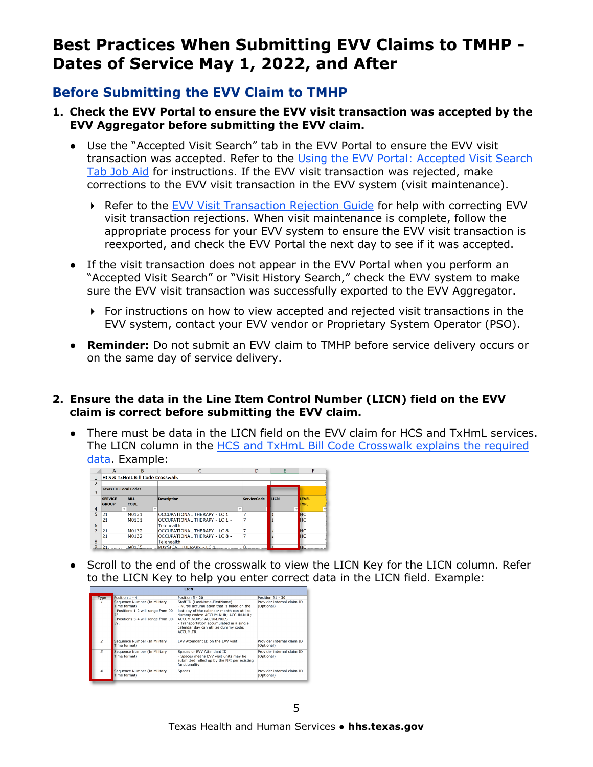# <span id="page-4-0"></span> **Best Practices When Submitting EVV Claims to TMHP - Dates of Service May 1, 2022, and After**

### **Before Submitting the EVV Claim to TMHP**

- **1. Check the EVV Portal to ensure the EVV visit transaction was accepted by the EVV Aggregator before submitting the EVV claim.** 
	- [Tab Job Aid](https://tmhp.exceedlms.com/student/collection/521629/path/507964) for instructions. If the EVV visit transaction was rejected, make ● Use the "Accepted Visit Search" tab in the EVV Portal to ensure the EVV visit transaction was accepted. Refer to the [Using the EVV Portal: Accepted Visit Search](https://tmhp.exceedlms.com/student/collection/521629/path/507964)  corrections to the EVV visit transaction in the EVV system (visit maintenance).
		- Refer to the [EVV Visit Transaction Rejection Guide](https://www.tmhp.com/sites/default/files/file-library/evv/EVV-visit-transaction-rejection-guide.pdf) for help with correcting EVV visit transaction rejections. When visit maintenance is complete, follow the appropriate process for your EVV system to ensure the EVV visit transaction is reexported, and check the EVV Portal the next day to see if it was accepted.
	- "Accepted Visit Search" or "Visit History Search," check the EVV system to make • If the visit transaction does not appear in the EVV Portal when you perform an sure the EVV visit transaction was successfully exported to the EVV Aggregator.
		- For instructions on how to view accepted and rejected visit transactions in the EVV system, contact your EVV vendor or Proprietary System Operator (PSO).
	- **Reminder:** Do not submit an EVV claim to TMHP before service delivery occurs or on the same day of service delivery.

### **2. Ensure the data in the Line Item Control Number (LICN) field on the EVV claim is correct before submitting the EVV claim.**

. ● There must be data in the LICN field on the EVV claim for HCS and TxHmL services. The LICN column in the [HCS and TxHmL Bill Code Crosswalk](https://www.hhs.texas.gov/sites/default/files/documents/cms-bill-code-crosswalk-hcs-txhml.xlsx) explains the required data. Example:

|                | A                              | B                                          |                                             | D                  | E    |                             |
|----------------|--------------------------------|--------------------------------------------|---------------------------------------------|--------------------|------|-----------------------------|
|                |                                | <b>HCS &amp; TxHmL Bill Code Crosswalk</b> |                                             |                    |      |                             |
| $\mathcal{P}$  |                                |                                            |                                             |                    |      |                             |
| 3              | <b>Texas LTC Local Codes</b>   |                                            |                                             |                    |      |                             |
|                | <b>SERVICE</b><br><b>GROUP</b> | <b>BILL</b><br><b>CODE</b>                 | <b>Description</b>                          | <b>ServiceCode</b> | LICN | <b>LEVEL</b><br><b>TYPE</b> |
| $\overline{4}$ | ÷                              | $\checkmark$                               |                                             | $\checkmark$       |      |                             |
| 5              | 21                             | M0131                                      | OCCUPATIONAL THERAPY - LC 1                 |                    |      | HC <sub>HC</sub>            |
| 6              | 21                             | M0131                                      | OCCUPATIONAL THERAPY - LC 1 -<br>Telehealth | 7                  |      |                             |
|                | 21                             | M0132                                      | OCCUPATIONAL THERAPY - LC 8                 |                    |      | HC<br>HC                    |
| 8              | 21                             | M0132                                      | OCCUPATIONAL THERAPY - LC 8 -<br>Telehealth | 7                  |      |                             |
| $\mathbf{Q}$   | 21.                            | M0135                                      | PHYSICAL THERAPY - LC 1                     |                    |      | <b>HC</b>                   |

● Scroll to the end of the crosswalk to view the LICN Key for the LICN column. Refer to the LICN Key to help you enter correct data in the LICN field. Example:

| Type           | Position 1 - 4                                                                                                                           | Position 5 - 20                                                                                                                                                                                                                                                                                   | Position 21 - 30                         |
|----------------|------------------------------------------------------------------------------------------------------------------------------------------|---------------------------------------------------------------------------------------------------------------------------------------------------------------------------------------------------------------------------------------------------------------------------------------------------|------------------------------------------|
|                | Sequence Number (In Military<br>Time format)<br>- Positions 1-2 will range from 00-<br>23.<br>- Positions 3-4 will range from 00-<br>59. | Staff ID (LastName, FirstName)<br>- Nurse accumulation that is billed on the<br>last day of the calendar month can utilize<br>dummy codes: ACCUM.NUR; ACCUM.NUL;<br>ACCUM.NURS: ACCUM.NULS<br>- Transportation accumulated in a single<br>calendar day can utilize dummy code:<br><b>ACCUM.TR</b> | Provider internal claim ID<br>(Optional) |
| $\overline{z}$ | Sequence Number (In Military<br>Time format)                                                                                             | FVV Attendant ID on the FVV visit                                                                                                                                                                                                                                                                 | Provider internal claim ID<br>(Optional) |
| 3              | Sequence Number (In Military<br>Time format)                                                                                             | Spaces or EVV Attendant ID<br>- Spaces means EVV visit units may be<br>submitted rolled up by the NPI per existing<br>functionality                                                                                                                                                               | Provider internal claim ID<br>(Optional) |
| 4              | Sequence Number (In Military<br>Time format)                                                                                             | <b>Spaces</b>                                                                                                                                                                                                                                                                                     | Provider internal claim ID<br>(Optional) |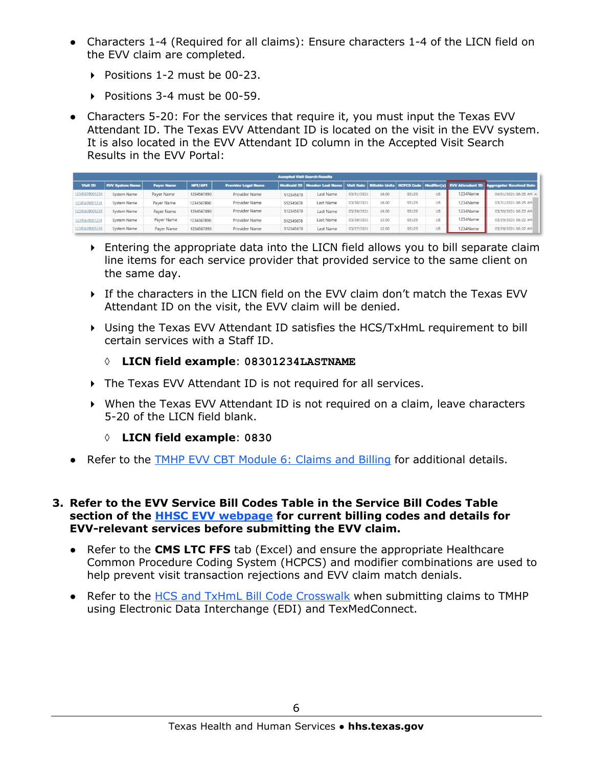- Characters 1-4 (Required for all claims): Ensure characters 1-4 of the LICN field on the EVV claim are completed.
	- Positions 1-2 must be 00-23.
	- Positions 3-4 must be 00-59.
- Characters 5-20: For the services that require it, you must input the Texas EVV Attendant ID. The Texas EVV Attendant ID is located on the visit in the EVV system. It is also located in the EVV Attendant ID column in the Accepted Visit Search Results in the EVV Portal:

| Accepted Visit Search Results |                        |                   |            |                            |           |           |            |       |              |    |          |                                                                                                                                       |
|-------------------------------|------------------------|-------------------|------------|----------------------------|-----------|-----------|------------|-------|--------------|----|----------|---------------------------------------------------------------------------------------------------------------------------------------|
| <b>Visit ID</b>               | <b>EVV System Name</b> | <b>Payer Name</b> | NPL/API    | <b>Provider Legal Name</b> |           |           |            |       |              |    |          | Medicaid ID   Member Last Name   Visit Date   Billable Units   HCPCS Code   Modifier(s)   EVV Attendant ID   Aggregator Received Date |
| 12345678901234                | System Name            | Paver Name        | 1234567890 | Provider Name              | 512345678 | Last Name | 03/31/2021 | 16.00 | 55125        | U5 | 1234Name | 04/01/2021 06:25 AM A                                                                                                                 |
| 12345678901234                | System Name            | Payer Name        | 1234567890 | Provider Name              | 512345678 | Last Name | 03/30/2021 | 16.00 | 55125        | U5 | 1234Name | 03/31/2021 06:25 AM                                                                                                                   |
| 12345678901234                | System Name            | Payer Name        | 1234567890 | Provider Name              | 512345678 | Last Name | 03/29/2021 | 16.00 | 55125        | U5 | 1234Name | 03/30/2021 06:23 AM                                                                                                                   |
| 12345678901234                | System Name            | Payer Name        | 1234567890 | Provider Name              | 512345678 | Last Name | 03/28/2021 | 12.00 | 55125        | U5 | 1234Name | 03/29/2021 06:22 AM)                                                                                                                  |
| 12345678901234                | System Name            | Payer Name        | 1234567890 | Provider Name              | 512345678 | Last Name | 03/27/2021 | 12.00 | <b>S5125</b> | U5 | 1234Name | 03/28/2021 06:22 AM                                                                                                                   |

- Entering the appropriate data into the LICN field allows you to bill separate claim line items for each service provider that provided service to the same client on the same day.
- If the characters in the LICN field on the EVV claim don't match the Texas EVV Attendant ID on the visit, the EVV claim will be denied.
- Using the Texas EVV Attendant ID satisfies the HCS/TxHmL requirement to bill certain services with a Staff ID.

### ◊ **LICN field example**: **08301234LASTNAME**

- The Texas EVV Attendant ID is not required for all services.
- When the Texas EVV Attendant ID is not required on a claim, leave characters 5-20 of the LICN field blank.
	- ◊ **LICN field example**: **0830**
- Refer to the [TMHP EVV CBT Module 6: Claims and Billing](https://tmhp.exceedlms.com/student/collection/521629/path/503632) for additional details.

#### **3. Refer to the EVV Service Bill Codes Table in the Service Bill Codes Table section of the [HHSC EVV webpage](https://www.hhs.texas.gov/providers/long-term-care-providers/long-term-care-provider-resources/electronic-visit-verification) for current billing codes and details for EVV-relevant services before submitting the EVV claim.**

- Refer to the **CMS LTC FFS** tab (Excel) and ensure the appropriate Healthcare Common Procedure Coding System (HCPCS) and modifier combinations are used to help prevent visit transaction rejections and EVV claim match denials.
- Refer to the [HCS and TxHmL Bill Code Crosswalk](https://www.hhs.texas.gov/sites/default/files/documents/cms-bill-code-crosswalk-hcs-txhml.xlsx) when submitting claims to TMHP using Electronic Data Interchange (EDI) and TexMedConnect.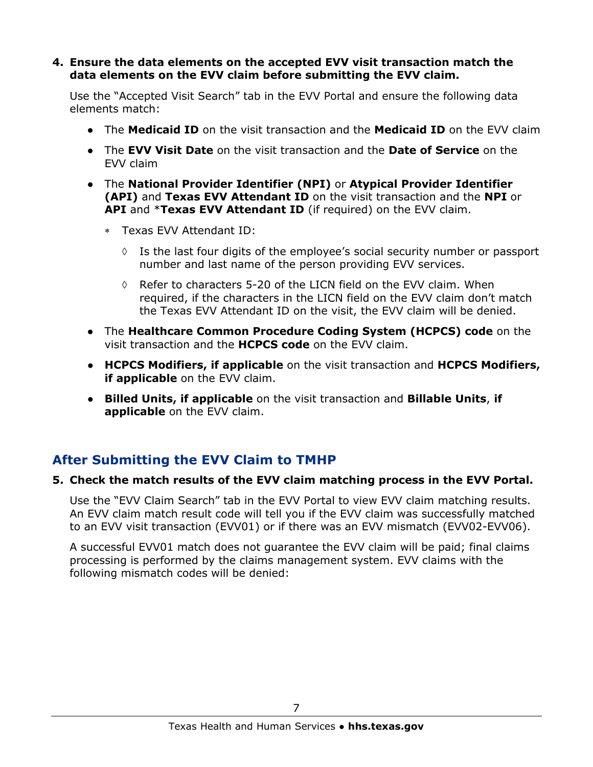#### **4. Ensure the data elements on the accepted EVV visit transaction match the data elements on the EVV claim before submitting the EVV claim.**

Use the "Accepted Visit Search" tab in the EVV Portal and ensure the following data elements match:

- The **Medicaid ID** on the visit transaction and the **Medicaid ID** on the EVV claim
- The **EVV Visit Date** on the visit transaction and the **Date of Service** on the EVV claim
- The **National Provider Identifier (NPI)** or **Atypical Provider Identifier (API)** and **Texas EVV Attendant ID** on the visit transaction and the **NPI** or **API** and \***Texas EVV Attendant ID** (if required) on the EVV claim.
	- ∗ Texas EVV Attendant ID:
		- $\Diamond$  Is the last four digits of the employee's social security number or passport number and last name of the person providing EVV services.
		- $\Diamond$  Refer to characters 5-20 of the LICN field on the EVV claim. When required, if the characters in the LICN field on the EVV claim don't match the Texas EVV Attendant ID on the visit, the EVV claim will be denied.
- The **Healthcare Common Procedure Coding System (HCPCS) code** on the visit transaction and the **HCPCS code** on the EVV claim.
- **HCPCS Modifiers, if applicable** on the visit transaction and **HCPCS Modifiers, if applicable** on the EVV claim.
- **Billed Units, if applicable** on the visit transaction and **Billable Units**, **if applicable** on the EVV claim.

### **After Submitting the EVV Claim to TMHP**

### **5. Check the match results of the EVV claim matching process in the EVV Portal.**

Use the "EVV Claim Search" tab in the EVV Portal to view EVV claim matching results. An EVV claim match result code will tell you if the EVV claim was successfully matched to an EVV visit transaction (EVV01) or if there was an EVV mismatch (EVV02-EVV06).

A successful EVV01 match does not guarantee the EVV claim will be paid; final claims processing is performed by the claims management system. EVV claims with the following mismatch codes will be denied: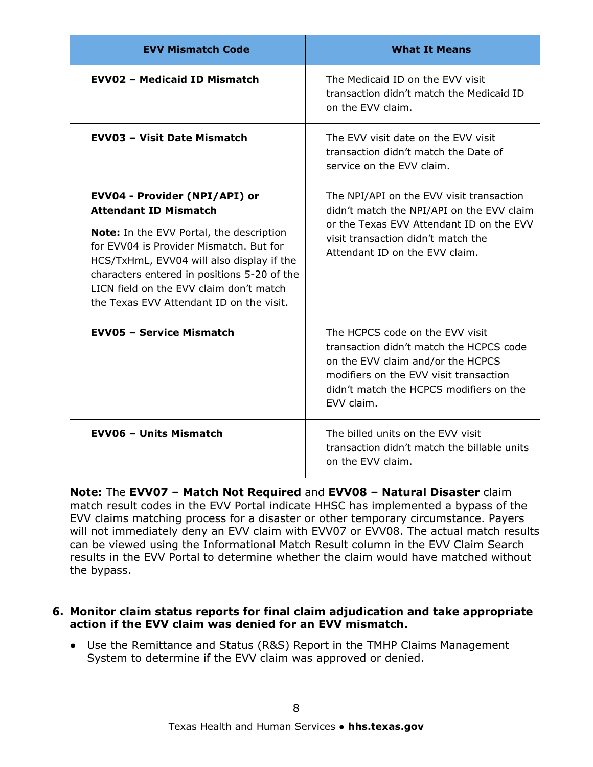| <b>EVV Mismatch Code</b>                                                                                                                                                                                                                                                                                                                       | <b>What It Means</b>                                                                                                                                                                                               |
|------------------------------------------------------------------------------------------------------------------------------------------------------------------------------------------------------------------------------------------------------------------------------------------------------------------------------------------------|--------------------------------------------------------------------------------------------------------------------------------------------------------------------------------------------------------------------|
| <b>EVV02 - Medicaid ID Mismatch</b>                                                                                                                                                                                                                                                                                                            | The Medicaid ID on the EVV visit<br>transaction didn't match the Medicaid ID<br>on the EVV claim.                                                                                                                  |
| <b>EVV03 - Visit Date Mismatch</b>                                                                                                                                                                                                                                                                                                             | The EVV visit date on the EVV visit<br>transaction didn't match the Date of<br>service on the EVV claim.                                                                                                           |
| EVV04 - Provider (NPI/API) or<br><b>Attendant ID Mismatch</b><br><b>Note:</b> In the EVV Portal, the description<br>for EVV04 is Provider Mismatch. But for<br>HCS/TxHmL, EVV04 will also display if the<br>characters entered in positions 5-20 of the<br>LICN field on the EVV claim don't match<br>the Texas EVV Attendant ID on the visit. | The NPI/API on the EVV visit transaction<br>didn't match the NPI/API on the EVV claim<br>or the Texas EVV Attendant ID on the EVV<br>visit transaction didn't match the<br>Attendant ID on the EVV claim.          |
| <b>EVV05 - Service Mismatch</b>                                                                                                                                                                                                                                                                                                                | The HCPCS code on the EVV visit<br>transaction didn't match the HCPCS code<br>on the EVV claim and/or the HCPCS<br>modifiers on the EVV visit transaction<br>didn't match the HCPCS modifiers on the<br>EVV claim. |
| <b>EVV06 - Units Mismatch</b>                                                                                                                                                                                                                                                                                                                  | The billed units on the EVV visit<br>transaction didn't match the billable units<br>on the EVV claim.                                                                                                              |

 EVV claims matching process for a disaster or other temporary circumstance. Payers **Note:** The **EVV07 – Match Not Required** and **EVV08 – Natural Disaster** claim match result codes in the EVV Portal indicate HHSC has implemented a bypass of the will not immediately deny an EVV claim with EVV07 or EVV08. The actual match results can be viewed using the Informational Match Result column in the EVV Claim Search results in the EVV Portal to determine whether the claim would have matched without the bypass.

#### **6. Monitor claim status reports for final claim adjudication and take appropriate action if the EVV claim was denied for an EVV mismatch.**

• Use the Remittance and Status (R&S) Report in the TMHP Claims Management System to determine if the EVV claim was approved or denied.